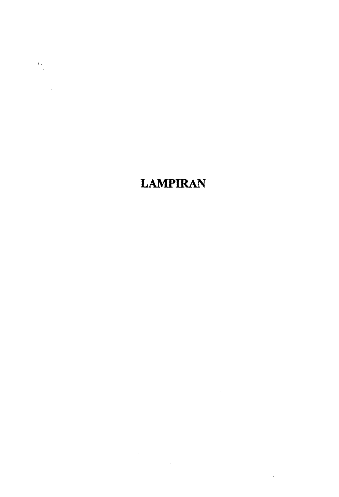# **LAMPIRAN**

 $\frac{1}{2} \frac{1}{2}$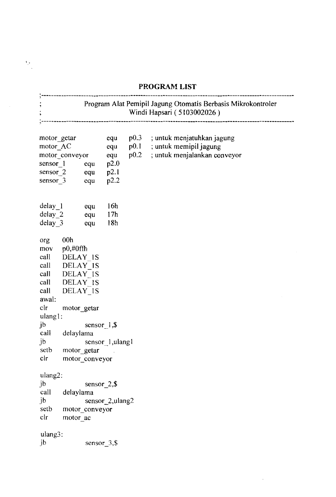### **PROGRAM LIST**

, .

<u>alian di seria di seria di seria di seria di seria di seria di seria di seria di seria di seria di seria di s</u> Program Alat Pemipil Jagung Otomatis Berbasis Mikrokontroler Windi Hapsari ( 5103002026 )  $\ddot{\cdot}$ motor\_getar equ pO.3 ; untuk menjatuhkanjagung motor AC equ ; untuk memipil jagung pO. I ; untuk menjalankan conveyor motor\_conveyor equ pO.2 sensor 1 equ p2.0 sensor 2 equ p2.1 sensor 3 equ p2.2 delay 1 equ 16h<br>delay 2 equ 17h delay 2 equ delay\_3 equ 18h org OOh mov  $p0, \#0$ ffh call DELAY IS call DELAY IS call DELAY 1S call DELAY 1S call DELAY 1S awal: elr motor \_getar ulang1: jb sensor 1,\$ call delaylama jb sensor\_1,ulang1 motor getar setb clr motor\_conveyor ulang2: jb sensor<sub>2,\$</sub> call delaylama jb sensor\_2,ulang2 setb motor\_conveyor elr motor ac ulang3: jb sensor 3,\$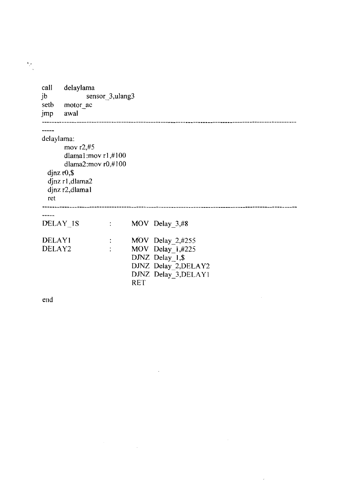| call<br>jb<br>setb<br>jmp | delaylama<br>motor ac<br>awal                                                                                               | sensor_3,ulang3            |            |                                                                                                           |  |
|---------------------------|-----------------------------------------------------------------------------------------------------------------------------|----------------------------|------------|-----------------------------------------------------------------------------------------------------------|--|
| delaylama:<br>ret         | mov $r2,#5$<br>dlama1:mov $r1, #100$<br>dlama2:mov $r0, #100$<br>$\frac{d}{dx}$ r0,\$<br>djnz r1, dlama2<br>djnz r2, dlamal |                            |            |                                                                                                           |  |
|                           | DELAY <sub>18</sub>                                                                                                         | $\mathcal{L}^{\text{max}}$ |            | MOV Delay 3,#8                                                                                            |  |
| <b>DELAY1</b><br>DELAY2   |                                                                                                                             | $\ddot{\cdot}$             | <b>RET</b> | $MOV$ Delay 2,#255<br>MOV Delay 1,#225<br>DJNZ Delay_1,\$<br>DJNZ Delay_2, DELAY2<br>DJNZ Delay 3, DELAY1 |  |

 $\sim 10$ 

 $\label{eq:2.1} \frac{1}{\sqrt{2\pi}}\sum_{i=1}^n\frac{1}{\sqrt{2\pi}}\sum_{i=1}^n\frac{1}{\sqrt{2\pi}}\sum_{i=1}^n\frac{1}{\sqrt{2\pi}}\sum_{i=1}^n\frac{1}{\sqrt{2\pi}}\sum_{i=1}^n\frac{1}{\sqrt{2\pi}}\sum_{i=1}^n\frac{1}{\sqrt{2\pi}}\sum_{i=1}^n\frac{1}{\sqrt{2\pi}}\sum_{i=1}^n\frac{1}{\sqrt{2\pi}}\sum_{i=1}^n\frac{1}{\sqrt{2\pi}}\sum_{i=1}^n\$ 

 $\label{eq:2.1} \frac{1}{\sqrt{2}}\int_{\mathbb{R}^3}\frac{1}{\sqrt{2}}\left(\frac{1}{\sqrt{2}}\right)^2\frac{1}{\sqrt{2}}\left(\frac{1}{\sqrt{2}}\right)^2\frac{1}{\sqrt{2}}\left(\frac{1}{\sqrt{2}}\right)^2\frac{1}{\sqrt{2}}\left(\frac{1}{\sqrt{2}}\right)^2.$ 

 $\mathcal{L}^{\text{max}}_{\text{max}}$ 

end

 $\frac{1}{2}$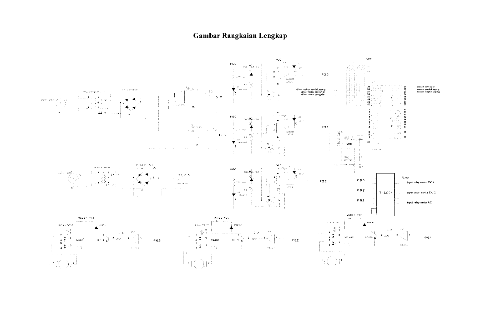## Gambar Rangkaian Lengkap

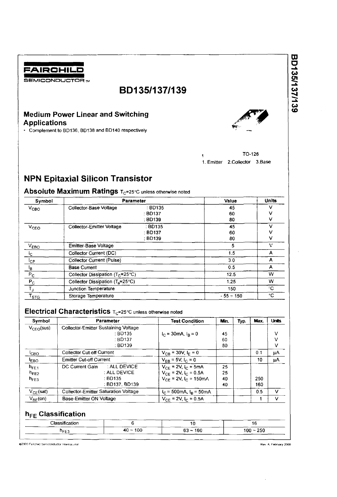

# **80135/137/139**

# **Medium Power Linear and Switching Applications**<br> **• Complement to BD136, BD138 and BD140 respectively** • Complement to B0136, B0138 and B0140 respectively *r'"* ~ .....



1 TO-126 1. Emitter 2.Collector 3.Base

# **NPN Epitaxial Silicon Transistor**

## **Absolute Maximum Ratings T<sub>C</sub>=25°C unless otherwise noted**

| Symbol                    |                                              | <b>Parameter</b> | Value       | Units |
|---------------------------|----------------------------------------------|------------------|-------------|-------|
| $V_{\text{CBO}}$          | Collector-Base Voltage                       | : BD135          | 45          | ν     |
|                           |                                              | : BD137          | 60          | v     |
|                           |                                              | : BD139          | 80          | v     |
| V <sub>CEO</sub>          | Collector-Emitter Voltage                    | : BD135          | 45          | v     |
|                           |                                              | $\div$ BD137     | 60          |       |
|                           |                                              | : BD139          | 80          | v     |
| $V_{EBO}$                 | Emitter-Base Voltage                         |                  | 5           | ν     |
| <sup>i</sup> c.           | Collector Current (DC)                       |                  | 1.5         | А     |
| $1_{\mathsf{CP}}$         | <b>Collector Current (Pulse)</b>             |                  | 3.0         | А     |
| <u>la</u>                 | <b>Base Current</b>                          |                  | 0.5         | А     |
| $\mathsf{P}_{\mathsf{C}}$ | Collector Dissipation ( $T_c$ =25°C)         |                  | 12.5        | w     |
| $P_C$                     | Collector Dissipation (T <sub>a</sub> =25°C) |                  | 1.25        | w     |
| $T_{\rm J}$               | Junction Temperature                         |                  | 150         | ۰C    |
| $\mathsf{T}_{\text{STG}}$ | Storage Temperature                          |                  | $-55 - 150$ | ۰C    |

## **Electrical Characteristics**  $T_C=25^\circ$ C unless otherwise noted

| Symbol              | <b>Parameter</b>                            | <b>Test Condition</b>                     | Min. | Typ. | Max. | <b>Units</b> |
|---------------------|---------------------------------------------|-------------------------------------------|------|------|------|--------------|
| $V_{CFO}$ (sus)     | Collector-Emitter Sustaining Voltage        |                                           |      |      |      |              |
|                     | : BD135                                     | $I_C = 30 \text{ mA}, I_B = 0$            | 45   |      |      | ν            |
|                     | $\pm$ BD137                                 |                                           | 60   |      |      | v            |
|                     | $\div$ BD139                                |                                           | 80   |      |      | v            |
| <sup>I</sup> сво    | <b>Collector Cut-off Current</b>            | $V_{CB}$ = 30V, $I_F$ = 0                 |      |      | 0.1  | μA           |
| <b>LEBO</b>         | <b>Emitter Cut-off Current</b>              | $V_{FR}$ = 5V, $I_C$ = 0                  |      |      | 10   | μA           |
| $h_{\rm FF1}$       | : ALL DEVICE<br>DC Current Gain             | $V_{CE}$ = 2V, $I_C$ = 5mA                | 25   |      |      |              |
| $h_{FF2}$           | : ALL DEVICE                                | $V_{CF}$ = 2V, $I_C$ = 0.5A               | 25   |      |      |              |
| $h_{FF3}$           | : BD135                                     | $V_{CF}$ = 2V, $I_C$ = 150 mA             | 40   |      | 250  |              |
|                     | : BD137, BD139                              |                                           | 40   |      | 160  |              |
| $V_{CE}$ (sat)      | <b>Collector-Emitter Saturation Voltage</b> | $I_C = 500 \text{mA}, I_R = 50 \text{mA}$ |      |      | 0.5  | v            |
| $V_{\text{RF}}(on)$ | Base-Emitter ON Voltage                     | $V_{CF}$ = 2V, $I_C$ = 0.5A               |      |      |      | v            |

# **h**<sub>FE</sub> Classification

| <b>Cloccin</b><br>ication |        | ιu     | . .   |
|---------------------------|--------|--------|-------|
| $n_{FE3}$                 | 100    | 160    | 0.00  |
|                           | 40     | $\sim$ | 100 ~ |
|                           | $\sim$ | $03 -$ | ∠ວບ   |

@2000 Fairchild Semiconductor International

Rev. A. February 2000

BD135/137/139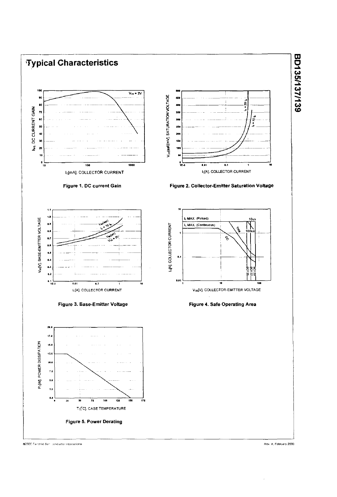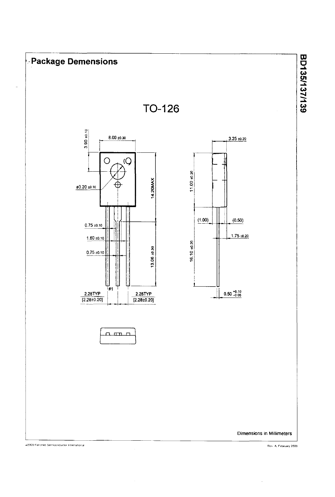

Rev. A. February 2000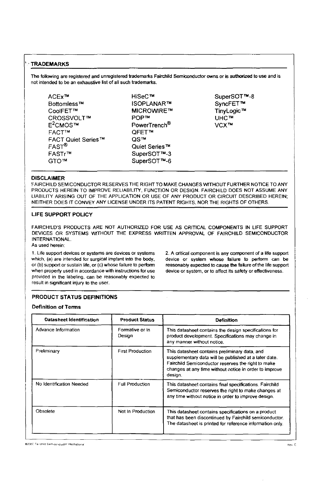The following are registered and unregistered trademarks Fairchild Semiconductor owns or is authorized to use and is not intended to be an exhaustive list of all such trademarks.

ACEx™ Bottomless™ CoolFET™ CROSSVOLT™  $F^2$ CMOS™ FACT'M FACT Quiet Series™ FASr® FASTr™ GTOTM

HiSeC™ ISOPLANAR'" **MICROWIRE™** POP™ PowerTrench® QFET™ QS™ Quiet Series TM SuperSOT™-3 SuperSOT™-6

SuperSOT<sup>™-8</sup> SyncFET™ TinyLogic™ UHC™ VCX<sup>™</sup>

#### DISCLAIMER

FAIRCHILD SEMICONDUCTOR RESERVES THE RIGHT TO MAKE CHANGES WITHOUT FURTHER NOTICE TO ANY PRODUCTS HEREIN TO IMPROVE RELIABILITY, FUNCTION OR DESIGN. FAIRCHILD DOES NOT ASSUME ANY LIABILITY ARISING OUT OF THE APPLICATION OR USE OF ANY PRODUCT OR CIRCUIT DESCRIBED HEREIN; NEITHER DOES IT CONVEY ANY LICENSE UNDER ITS PATENT RIGHTS, NOR THE RIGHTS OF OTHERS.

#### LIFE SUPPORT POLICY

FAIRCHILD'S PRODUCTS ARE NOT AUTHORIZED FOR USE AS CRITICAL COMPONENTS IN LIFE SUPPORT DEVICES OR SYSTEMS WITHOUT THE EXPRESS WRITIEN APPROVAL OF FAIRCHILD SEMICONDUCTOR INTERNATIONAL.

As used herein:

1. Life support devices or systems are devices or systems which, (a) are intended for surgical implant into the body, or (b) support or sustain life, or (c) whose failure to perform when properly used in accordance with instructions for use provided in the labeling, can be reasonably expected to result in Significant injury to the user.

2. A critical component is any component of a life support device or system whose failure to perform can be reasonably expected to cause the failure of the life support device or system, or to affect its safety or effectiveness.

#### PRODUCT STATUS DEFINITIONS

#### Definition of Tenns

| Datasheet Identification | <b>Product Status</b>     | <b>Definition</b>                                                                                                                                                                                                                 |
|--------------------------|---------------------------|-----------------------------------------------------------------------------------------------------------------------------------------------------------------------------------------------------------------------------------|
| Advance Information      | Formative or In<br>Design | This datasheet contains the design specifications for<br>product development. Specifications may change in<br>any manner without notice.                                                                                          |
| Preliminary              | <b>First Production</b>   | This datasheet contains preliminary data, and<br>supplementary data will be published at a later date.<br>Fairchild Semiconductor reserves the right to make<br>changes at any time without notice in order to improve<br>design. |
| No Identification Needed | <b>Full Production</b>    | This datasheet contains final specifications. Fairchild<br>Semiconductor reserves the right to make changes at<br>any time without notice in order to improve design.                                                             |
| Obsolete                 | Not In Production         | This datasheet contains specifications on a product<br>that has been discontinued by Fairchild semiconductor.<br>The datasheet is printed for reference information only.                                                         |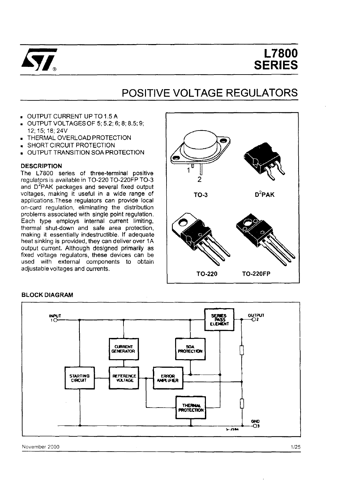

# **L7800 SERIES**

# **POSITIVE VOLTAGE REGULATORS**

- OUTPUT CURRENT UP TO 1.5 A
- OUTPUT VOLTAGES OF 5; 5.2; 6; 8; 8.5; 9; 12;15;18;24V
- THERMAL OVERLOAO PROTECTION
- **SHORT CIRCUIT PROTECTION**
- OUTPUT TRANSITION SOA PROTECTION

#### **DESCRIPTION**

The L7800 series of three-terminal positive regulators is available in TO-220 TO-220FP TO-3 and D<sup>2</sup>PAK packages and several fixed output voltages, making it useful in a wide range of applications. These regulators can provide local on-card regulation, eliminating the distribution problems associated with single point regulation. Each type employs internal current limiting, thermal shut-down and safe area protection, making it essentially indestructible. If adequate heat sinking is provided, they can deliver over 1A output current. Although designed primarily as fixed voltage regulators, these devices can be used with external components to obtain adiustable voltages and currents.



#### **BLOCK DIAGRAM**

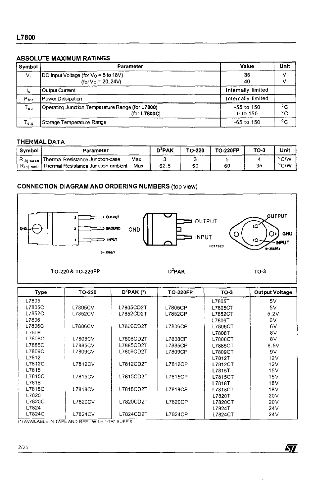### **ABSOLUTE MAXIMUM RATINGS**

| Symbol        | <b>Parameter</b>                                                        | Value                      | Unit     |
|---------------|-------------------------------------------------------------------------|----------------------------|----------|
| $V_i$         | [DC Input Voltage (for $VO = 5$ to 18V)<br>(for $V_{\Omega}$ = 20, 24V) | 35<br>40                   |          |
| ۱o            | <b>Output Current</b>                                                   | Internally limited         |          |
| $P_{tot}$     | Power Dissipation                                                       | Internally limited         |          |
| $T_{op}$      | Operating Junction Temperature Range (for L7800)<br>(for L7800C)        | $-55$ to 150<br>$0$ to 150 | °C<br>°c |
| $T_{\sf stg}$ | Storage Temperature Range                                               | $-65$ to 150               | °c       |

#### **THERMAL DATA**

| Symbol      | Parameter                             |     | D'PAK | TO-220 | <b>TO-220FP</b> | TO-3 | Unit           |
|-------------|---------------------------------------|-----|-------|--------|-----------------|------|----------------|
| Kthi-case I | Thermal Resistance Junction-case      | Max |       |        |                 |      | °C/W           |
| . Rthi-amb  | ! Thermal Resistance Junction-ambient | Max | 62.5  | 50     | 60              | 35   | $^{\circ}$ C/W |

## **CONNECTION DIAGRAM AND ORDERING NUMBERS** (top view)



| Type   | TO-220         | $D^2$ PAK (*) | <b>TO-220FP</b> | TO-3           | <b>Output Voltage</b> |
|--------|----------------|---------------|-----------------|----------------|-----------------------|
| L7805  |                |               |                 | L7805T         | 5V                    |
| L7805C | <b>L7805CV</b> | L7805CD2T     | L7805CP         | L7805CT        | 5V                    |
| L7852C | <b>L7852CV</b> | L7852CD2T     | L7852CP         | L7852CT        | 5.2V                  |
| L7806  |                |               |                 | L7806T         | 6V                    |
| L7806C | L7806CV        | L7806CD2T     | L7806CP         | <b>L7806CT</b> | 6V                    |
| L7808  |                |               |                 | <b>L7808T</b>  | 8V                    |
| L7808C | L7808CV        | L7808CD2T     | L7808CP         | <b>L7808CT</b> | 8V                    |
| L7885C | L7885CV        | L7885CD2T     | L7885CP         | L7885CT        | 8.5V                  |
| L7809C | L7809CV        | L7809CD2T     | L7809CP         | L7809CT        | 9V                    |
| L7812  |                |               |                 | L7812T         | 12V                   |
| L7812C | <b>L7812CV</b> | L7812CD2T     | L7812CP         | L7812CT        | 12V                   |
| L7815  |                |               |                 | L7815T         | 15V                   |
| L7815C | <b>L7815CV</b> | L7815CD2T     | L7815CP         | L7815CT        | 15V                   |
| L7818  |                |               |                 | L7818T         | 18V                   |
| L7818C | <b>L7818CV</b> | L7818CD2T     | L7818CP         | L7818CT        | 18V                   |
| L7820  |                |               |                 | L7820T         | 20 <sub>V</sub>       |
| L7820C | L7820CV        | L7820CD2T     | L7820CP         | L7820CT        | 20 <sub>V</sub>       |
| L7824  |                |               |                 | L7824T         | 24 <sub>V</sub>       |
| L7824C | <b>L7824CV</b> | L7824CD2T     | L7824CP         | L7824CT        | 24V                   |

勾

(\*) AVAILABLE IN TAPE AND REEL WITH "-TR" SUFFIX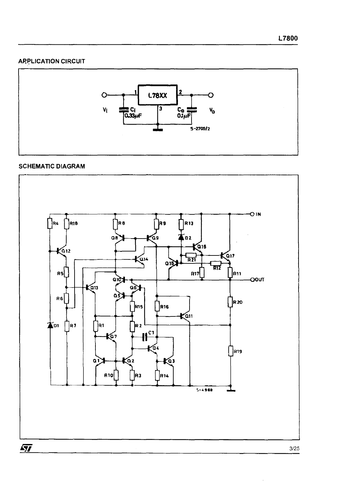## **ARPLICATION CIRCUIT**



#### **SCHEMATIC DIAGRAM**

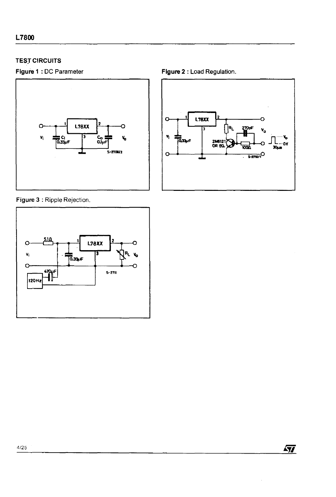## **TESJ CIRCUITS**



**Figure** 3 : Ripple Rejection.



**Figure 1** : DC Parameter **Figure 2** : Load Regulation.



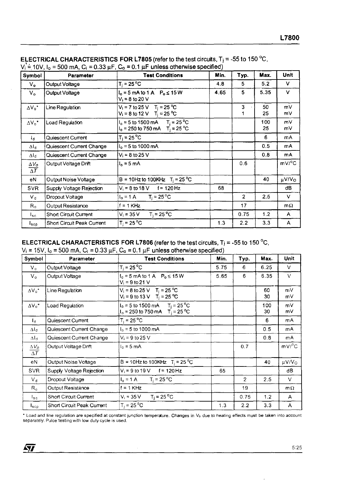| Symbol                                       | Parameter                    | <b>Test Conditions</b>                                                               | Min. | Typ.           | Max.      | Unit         |
|----------------------------------------------|------------------------------|--------------------------------------------------------------------------------------|------|----------------|-----------|--------------|
| $V_{\alpha}$                                 | Output Voltage               | $T_i = 25 °C$                                                                        | 4.8  | 5              | 5.2       | $\vee$       |
| $V_{o}$                                      | Output Voltage               | $I_0 = 5$ mA to 1 A $P_0 \le 15$ W<br>$V_i = 8$ to 20 V                              | 4.65 | 5              | 5.35      | V            |
| $\Delta V_0$ <sup>*</sup>                    | Line Regulation              | $V_i = 7$ to 25 V T <sub>i</sub> = 25 °C<br>$V_i = 8$ to 12 V T <sub>i</sub> = 25 °C |      | 3              | 50<br>25  | mV<br>mV.    |
| $\Delta V_o$ *                               | Load Regulation              | $I_0 = 5$ to 1500 mA $T_i = 25^{\circ}$ C<br>$I_0 = 250$ to 750 mA $T_1 = 25$ °C     |      |                | 100<br>25 | mV.<br>m∨    |
| 1a.                                          | Quiescent Current            | $T_i = 25^{\circ}C$                                                                  |      |                | 6         | mA           |
| $\Delta I_{\rm cl}$                          | Quiescent Current Change     | $I_0 = 5$ to 1000 mA                                                                 |      |                | 0.5       | mA           |
| $\Delta I_d$                                 | Quiescent Current Change     | $V_i$ = 8 to 25 V                                                                    |      |                | 0.8       | mA.          |
| $\Delta V_{\cal O}$<br>$\overline{\Delta T}$ | Output Voltage Drift         | $I_0 = 5$ mA                                                                         |      | 0.6            |           | mV/°C        |
| eN                                           | Output Noise Voltage         | B = 10Hz to 100KHz $T_i = 25 °C$                                                     |      |                | 40        | µV/Vo        |
| <b>SVR</b>                                   | Supply Voltage Rejection     | $V_i = 8$ to 18 V f = 120 Hz                                                         | 68   |                |           | dB           |
| $V_{\rm d}$                                  | Dropout Voltage              | $I_0 = 1 \text{ A}$ $T_i = 25^{\circ} \text{C}$                                      |      | $\overline{2}$ | 2.5       | v.           |
| $R_{\alpha}$                                 | Output Resistance            | $f = 1$ KHz                                                                          |      | 17             |           | $m\Omega$    |
| $I_{\rm sc}$                                 | <b>Short Circuit Current</b> | $T_i = 25 °C$<br>$V_i = 35 V$                                                        |      | 0.75           | 1.2       | $\mathsf{A}$ |
| lscp                                         | Short Circuit Peak Current   | $T_i = 25 °C$                                                                        | 1.3  | 2.2            | 3.3       | A            |

ELECTRICAL CHARACTERISTICS FOR L7805 (refer to the test circuits, T<sub>j</sub> = -55 to 150 °C,<br>V<sub>i</sub> = 10V, I<sub>o</sub> = 500 mA, C<sub>i</sub> = 0.33 µF, C<sub>o</sub> = 0.1 µF unless otherwise specified)

#### ELECTRICAL CHARACTERISTICS FOR L7806 (refer to the test circuits,  $T_i = -55$  to 150 °C,  $V_i = 15V$ .  $I_0 = 500$  mA,  $C_i = 0.33$   $\mu$ F,  $C_0 = 0.1$   $\mu$ F unless otherwise specified)

| Symbol                            | Parameter                    | <b>Test Conditions</b>                                                               | Min. | Typ.           | Max.      | <b>Unit</b>            |
|-----------------------------------|------------------------------|--------------------------------------------------------------------------------------|------|----------------|-----------|------------------------|
| $V_{o}$                           | Output Voltage               | $T_i = 25^{\circ}C$                                                                  | 5.75 | 6              | 6.25      | V                      |
| $V_{\alpha}$                      | Output Voltage               | $I_0 = 5$ mA to 1 A $P_0 \le 15$ W<br>$V_i = 9$ to 21 V                              | 5.65 | 6              | 6.35      | V                      |
| $\Delta V_0^{\star}$              | Line Regulation              | $V_i = 8$ to 25 V T <sub>i</sub> = 25 °C<br>$V_1 = 9$ to 13 V T <sub>i</sub> = 25 °C |      |                | 60<br>30  | mV<br>m۷               |
| $\Delta V_0^*$                    | Load Regulation              | $I_0 = 5$ to 1500 mA $T_i = 25^{\circ}$ C<br>$I_0 = 250$ to 750 mA $T_1 = 25$ °C     |      |                | 100<br>30 | mV<br>m٧               |
| $I_d$                             | Quiescent Current            | $T_i = 25 °C$                                                                        |      |                | 6         | mA.                    |
| Δlα                               | Quiescent Current Change     | $I_0 = 5$ to 1000 mA                                                                 |      |                | 0.5       | mA                     |
| $\Delta I_d$                      | Quiescent Current Change     | $V_i = 9$ to 25 V                                                                    |      |                | 0.8       | mA                     |
| $\Delta V_{\cal O}$<br>$\Delta T$ | Output Voltage Drift         | $I_0 = 5$ mA                                                                         |      | 0.7            |           | $mV$ <sup>o</sup> C    |
| eN                                | Output Noise Voltage         | B = 10Hz to 100KHz $T_i = 25 °C$                                                     |      |                | 40        | $\mu$ V/V <sub>O</sub> |
| <b>SVR</b>                        | Supply Voltage Rejection     | $V_i = 9$ to 19 V f = 120 Hz                                                         | 65   |                |           | dB                     |
| $V_{d}$                           | Dropout Voltage              | $I_o = 1 \text{ A}$ $T_i = 25 \text{ °C}$                                            |      | $\overline{2}$ | 2.5       | V                      |
| $R_{\alpha}$                      | Output Resistance            | $f = 1$ KHz                                                                          |      | 19             |           | $m\Omega$              |
| $I_{SC}$                          | <b>Short Circuit Current</b> | $T_i = 25^{\circ}$ C<br>$V_i = 35 V$                                                 |      | 0.75           | 1.2       | $\mathsf{A}$           |
| $I_{\texttt{SCP}}$                | Short Circuit Peak Current   | $T_i = 25 °C$                                                                        | 1.3  | 2.2            | 3.3       | A                      |

\* Load and line regulation are specified at constant junction temperature. Changes in V<sub>o</sub> due to heating effects must be taken into account separately. Pulce testing with low duty cycle is used.

勾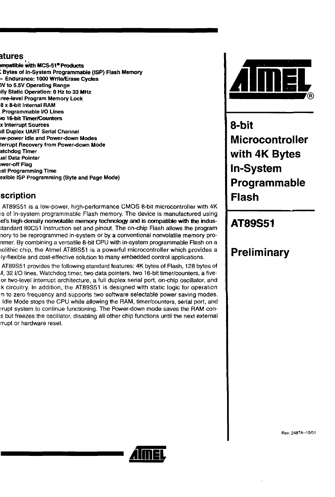## atures

mpatible with MCS-51<sup>e</sup> Products <sup>~</sup>Bytes of In-System Programmable (ISP) Flash Memory - Endurance: 1000 Write/Erase Cycles lV to S.SV.Operating Range Illy Static Operation: 0 Hz to 33 MHz ree-level Program Memory Lock 8 x 8-bit Internal RAM Programmable *VO* lines to 16-bit Timer/Counters x Interrupt Sources III Duplex UART Serial Channel Iw-power Idle and Power-down Modes terrupt Recovery from Power-down Mode atchdog Timer Jal Data Pointer wer-off Flag 1st Programming Time exible ISP Programming (Byte and Page Mode)

# scription

AT89S51 is a low-power, high-performance CMOS 8-bit microcontroller with 4K is of in-system programmable Flash memory. The device is manufactured using el's high-density nonvolatile memory technology and is compatible with the indus- ;tandard 80C51 instruction set and pinout The on-chip Flash allows the program nory to be reprogrammed in-system or by a conventional nonvolatile memory pronmer. By combining a versatile 8-bit CPU with in-system programmable Flash on a lolithic chip, the Atmel AT89S51 is a powerful microcontroller which provides a ly-flexible and cost-effective solution to many embedded control applications.

AT89S51 provides the following standard features: 4K bytes of Flash, 128 bytes of A, 32 I/O lines, Watchdog timer, two data pointers, two 16-bit timer/counters, a fiveor two-level interrupt architecture, a full duplex serial port, on-chip oscillator, and :k circuitry. In addition, the AT89S51 is designed with static logic for operation 'n to zero frequency and supports two software selectable power saving modes. Idle Mode stops the CPU while allowing the RAM, timer/counters, serial port, and rrupt system to continue functioning. The Power-down mode saves the RAM cons but freezes the oscillator, disabling all other chip functions until the next external rrupt or hardware reset



**a-bit M icrocontroller with 4K Bytes In-System Programmable Flash** 

# **AT89S51**

# **Preliminary**

Rev. *2487A-10/01* 

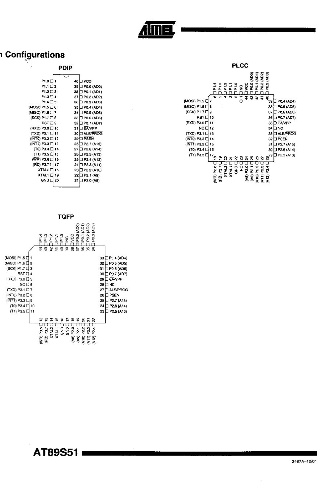# **1 Configurations** ..

|                        | <b>PDIP</b> |                      |                                             |             | <b>PLCC</b>           |                                        |                        |
|------------------------|-------------|----------------------|---------------------------------------------|-------------|-----------------------|----------------------------------------|------------------------|
|                        |             |                      |                                             |             |                       | $\widehat{\mathbf{z}}$<br>ន្និ ឱ្<br>ĝ |                        |
| $P1.0 \square$         |             | 40 ∐ VCC             |                                             |             |                       | ×.                                     |                        |
| $P1.1 \square 2$       |             | 39 □ P0.0 (AD0)      |                                             |             |                       |                                        |                        |
| $P1.2 \square 3$       |             | 38 D P0.1 (AD1)      |                                             |             |                       |                                        |                        |
| $P1.3 \square 4$       |             | 37 D P0.2 (AD2)      |                                             | <b>00 M</b> | o<br>N                | ş<br>毒<br>- SY                         |                        |
| $PI.4 \square 5$       |             | 36 D P0.3 (AD3)      | (MOSI) P1.5 L 7                             |             | o                     |                                        | 39 D P0.4 (AD4)        |
| $(MOSI)$ P1.5 $\Box$ 6 |             | 35 D P0.4 (AD4)      | (MISO) P1.6 $\Box$ 8                        |             |                       |                                        | 38 □ P0.5 (AD5)        |
| (MISO) P1.6 $\Box$ 7   |             | 34 O PO.5 (AD5)      | $(SCK)$ P1.7 $\Box$ 9                       |             |                       |                                        | 37 D P0.6 (AD6)        |
| $(SCK)$ P1.7 $\Box$ 8  |             | 33 D P0.6 (AD6)      | $RST \Box 10$                               |             |                       |                                        | 36 D P0.7 (AD7)        |
| RST □ 9                |             | 32 D P0.7 (AD7)      | (RXD) P3.0 □ 11                             |             |                       |                                        | 35 D EAVPP             |
| (RXD) P3.0 □ 10        |             | 31 EAVPP             | $NC \square$ 12                             |             |                       |                                        | 34 O NC                |
| $(TXD)$ P3.1 $\Box$ 11 |             | 30 D ALE/PROG        | $(TXD)$ P3.1 $\Box$ 13                      |             |                       |                                        | 33 D ALE/PROG          |
| $(NTO)$ P3.2 $\Box$ 12 |             | 29 D PSEN            | $(INT0)$ P3.2 $\Box$ 14                     |             |                       |                                        | 32 D PSEN              |
| $(NTT)$ P3.3 $\Box$ 13 |             | $28 \Box P2.7 (A15)$ | $(\overline{\mathsf{INT1}})$ P3.3 $\Box$ 15 |             |                       |                                        | $31$ $\Box$ P2.7 (A15) |
| $(T0)$ P3.4 $\Box$ 14  |             | 27 D P2.6 (A14)      | $(T0)$ P3.4 $\Box$ 16                       |             |                       |                                        | 30 D P2.6 (A14)        |
| $(T1)$ P3.5 $\Box$ 15  |             | 26 D P2.5 (A13)      | $(T1)$ P3.5 $\Box$ 17                       |             |                       |                                        | 29 □ P2.5 (A13)        |
| $(WR)$ P3.6 $\Box$ 16  |             | 25 □ P2.4 (A12)      |                                             |             |                       | æ<br>$\sim$                            |                        |
| (RD) P3.7 □ 17         |             | 24 □ P2.3 (A11)      |                                             |             |                       |                                        |                        |
| $XTAL2 \square$ 18     |             | 23 □ P2.2 (A10)      |                                             | ខឹ          | 웋<br><b>P2.0</b><br>¥ | N                                      |                        |
| $XTAL1 \Box 19$        |             | 22 □ P2.1 (A9)       |                                             | XTAL2       | XTAL1                 | o                                      |                        |
| $GND \square 20$       |             | 21 □ P2.0 (A8)       |                                             | Eē          | 3                     | ≤                                      |                        |
|                        |             |                      |                                             |             |                       |                                        |                        |



**AT89S51** 

 $\epsilon$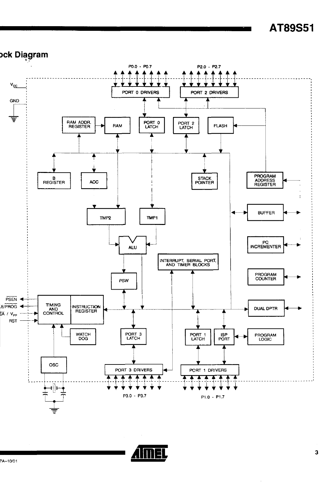# o<mark>ck Diagram</mark>

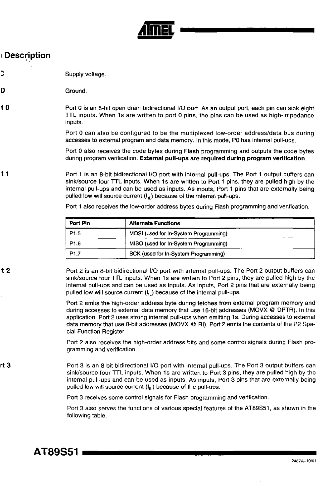

# **Description**

to

rt3

- .... " Supply voltage.
- D Ground.
	- Port 0 is an 8-bit open drain bidirectional I/O port. As an output port, each pin can sink eight TTL inputs. When 1s are written to port 0 pins, the pins can be used as high-impedance inputs.

Port 0 can also be configured to be the multiplexed low-order address/data bus during accesses to extemal program and data memory. In this mode, PO has internal pull-ups.

Port 0 also receives the code bytes during Flash programming and outputs the code bytes during program verification. External pull-ups are required during program verification.

t 1 Port 1 is an 8-bit bidirectional 1/0 port with internal pull-ups. The Port 1 output buffers can sink/source four TTL inputs. When 1s are written to Port 1 pins, they are pulled high by the internal pull-ups and can be used as inputs. As inputs, Port 1 pins that are externally being pulled low will source current  $(I<sub>II</sub>)$  because of the internal pull-ups.

Port 1 also receives the low-order address bytes during Flash programming and verification.

| Port Pin         | <b>Alternate Functions</b>            |  |
|------------------|---------------------------------------|--|
| P <sub>1.5</sub> | MOSI (used for In-System Programming) |  |
| P <sub>1.6</sub> | MISO (used for In-System Programming) |  |
| P <sub>1.7</sub> | SCK (used for In-System Programming)  |  |

ተ 2 Port 2 is an 8-bit bidirectional 1/0 port with internal pull-ups. The Port 2 output buffers can sink/source four TTL inputs. When 1s are written to Port 2 pins, they are pulled high by the internal pull-ups and can be used as inputs. As inputs, Port 2 pins that are externally being pulled low will source current  $(I_{ii})$  because of the internal pull-ups.

> Port 2 emits the high-order address byte during fetches from external program memory and during accesses to external data memory that use 16-bit addresses (MOVX @ DPTR). In this application, Port 2 uses strong internal pull-ups when emitting 1s. During accesses to external data memory that use 8-bit addresses (MOVX @ RI), Port 2 emits the contents of the P2 Special Function Register.

> Port 2 also receives the high-order address bits and some control signals during Flash programming and verification.

Port 3 is an 8-bit bidirectional 1/0 port with internal pull-ups. The Port 3 output buffers can sink/source four TTL inputs. When 1s are written to Port 3 pins, they are pulled high by the internal pull-ups and can be used as inputs. As inputs, Port 3 pins that are externally being pulled low will source current  $(I_{ii})$  because of the pull-ups.

Port 3 receives some control signals for Flash programming and verification.

Port 3 also serves the functions of various special features of the AT89S51, as shown in the following table.

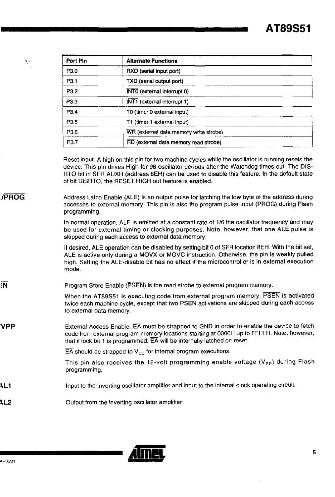| ۰,           | Port Pin                                                                                                                                                                                                                                                                                                   | <b>Alternate Functions</b>                                                                                                                                                                                                                                                                                                                                                                                                                                  |  |  |  |  |  |  |  |
|--------------|------------------------------------------------------------------------------------------------------------------------------------------------------------------------------------------------------------------------------------------------------------------------------------------------------------|-------------------------------------------------------------------------------------------------------------------------------------------------------------------------------------------------------------------------------------------------------------------------------------------------------------------------------------------------------------------------------------------------------------------------------------------------------------|--|--|--|--|--|--|--|
|              | P3.0                                                                                                                                                                                                                                                                                                       | RXD (serial input port)                                                                                                                                                                                                                                                                                                                                                                                                                                     |  |  |  |  |  |  |  |
|              | P3.1                                                                                                                                                                                                                                                                                                       | TXD (serial output port)                                                                                                                                                                                                                                                                                                                                                                                                                                    |  |  |  |  |  |  |  |
|              | P3.2<br>INTO (external interrupt 0)                                                                                                                                                                                                                                                                        |                                                                                                                                                                                                                                                                                                                                                                                                                                                             |  |  |  |  |  |  |  |
|              | P3.3                                                                                                                                                                                                                                                                                                       | INT1 (external interrupt 1)                                                                                                                                                                                                                                                                                                                                                                                                                                 |  |  |  |  |  |  |  |
|              | P3.4                                                                                                                                                                                                                                                                                                       | T0 (timer 0 external input)                                                                                                                                                                                                                                                                                                                                                                                                                                 |  |  |  |  |  |  |  |
|              | P <sub>3.5</sub>                                                                                                                                                                                                                                                                                           | T1 (timer 1 external input)                                                                                                                                                                                                                                                                                                                                                                                                                                 |  |  |  |  |  |  |  |
|              | P3.6                                                                                                                                                                                                                                                                                                       | WR (external data memory write strobe)                                                                                                                                                                                                                                                                                                                                                                                                                      |  |  |  |  |  |  |  |
|              | P3.7                                                                                                                                                                                                                                                                                                       | RD (external data memory read strobe)                                                                                                                                                                                                                                                                                                                                                                                                                       |  |  |  |  |  |  |  |
| <b>JPROG</b> |                                                                                                                                                                                                                                                                                                            | Reset input. A high on this pin for two machine cycles while the oscillator is running resets the<br>device. This pin drives High for 98 oscillator periods after the Watchdog times out. The DIS-<br>RTO bit in SFR AUXR (address 8EH) can be used to disable this feature. In the default state<br>of bit DISRTO, the RESET HIGH out feature is enabled.<br>Address Latch Enable (ALE) is an output pulse for latching the low byte of the address during |  |  |  |  |  |  |  |
|              | accesses to external memory. This pin is also the program pulse input (PROG) during Flash<br>programming.                                                                                                                                                                                                  |                                                                                                                                                                                                                                                                                                                                                                                                                                                             |  |  |  |  |  |  |  |
|              | In normal operation, ALE is emitted at a constant rate of 1/6 the oscillator frequency and may<br>be used for external timing or clocking purposes. Note, however, that one ALE pulse is<br>skipped during each access to external data memory.                                                            |                                                                                                                                                                                                                                                                                                                                                                                                                                                             |  |  |  |  |  |  |  |
|              | If desired, ALE operation can be disabled by setting bit 0 of SFR location 8EH. With the bit set,<br>ALE is active only during a MOVX or MOVC instruction. Otherwise, the pin is weakly pulled<br>high. Setting the ALE-disable bit has no effect if the microcontroller is in external execution<br>mode. |                                                                                                                                                                                                                                                                                                                                                                                                                                                             |  |  |  |  |  |  |  |
| :N           |                                                                                                                                                                                                                                                                                                            | Program Store Enable (PSEN) is the read strobe to external program memory.                                                                                                                                                                                                                                                                                                                                                                                  |  |  |  |  |  |  |  |
|              | When the AT89S51 is executing code from external program memory, PSEN is activated<br>twice each machine cycle, except that two PSEN activations are skipped during each access<br>to external data memory.                                                                                                |                                                                                                                                                                                                                                                                                                                                                                                                                                                             |  |  |  |  |  |  |  |
| VPP          | External Access Enable. EA must be strapped to GND in order to enable the device to fetch<br>code from external program memory locations starting at 0000H up to FFFFH. Note, however,<br>that if lock bit 1 is programmed, EA will be internally latched on reset.                                        |                                                                                                                                                                                                                                                                                                                                                                                                                                                             |  |  |  |  |  |  |  |
|              |                                                                                                                                                                                                                                                                                                            | $\overline{EA}$ should be strapped to $V_{CC}$ for internal program executions.                                                                                                                                                                                                                                                                                                                                                                             |  |  |  |  |  |  |  |
|              | programming.                                                                                                                                                                                                                                                                                               | This pin also receives the 12-volt programming enable voltage $(V_{\text{pp}})$ during Flash                                                                                                                                                                                                                                                                                                                                                                |  |  |  |  |  |  |  |
| AL 1         |                                                                                                                                                                                                                                                                                                            | Input to the inverting oscillator amplifier and input to the internal clock operating circuit.                                                                                                                                                                                                                                                                                                                                                              |  |  |  |  |  |  |  |
| <b>AL2</b>   |                                                                                                                                                                                                                                                                                                            | Output from the inverting oscillator amplifier                                                                                                                                                                                                                                                                                                                                                                                                              |  |  |  |  |  |  |  |



<u> a strong pro</u>

~L2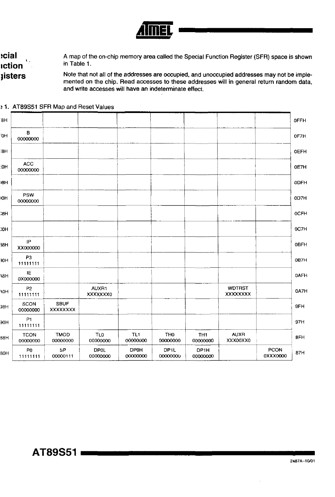

cial: A map of the on-chip memory area called the Special Function Register (SFR) space is shown in Table 1. **iction** Note that not all of the addresses are occupied, and unoccupied addresses may not be imple**isters** mented on the chip. Read accesses to these addresses will in general return random data, and write accesses will have an indeterminate effect.

0FFH ΆH B ЮH OF7H 00000000 :8H **OEFH** ACC :0Н 0E7H 00000000 **ODFH BH** PSW 0D7H ЮH 00000000 ,<br>ЭН **OCFH** 0C7H HO. IP **OBFH** 38H XX000000 P3 30H 0B7H 11111111 IE **OAFH** H8A 0X000000 AUXR1 **WDTRST** P<sub>2</sub> 0A7H **HO** XXXXXXX0 **XXXXXXXX** 11111111 SBUF SCON 9FH H86 00000000 **XXXXXXXX**  $P1$ 97H эон 11111111 **TCON TMOD** TL1 TH<sub>0</sub> **AUXR TLO** TH<sub>1</sub> 8FH 88H 00000000 00000000 00000000 00000000 XXX00XX0 00000000 00000000 DP1H P<sub>0</sub> **SP DP0L DP0H DP1L PCON** 87H 80H 11111111 00000111 00000000 00000000 00000000 00000000 0XXX0000

#### 1. AT89S51 SFR Map and Reset Values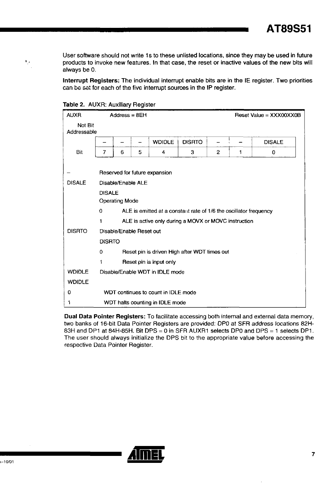**AT89S51** 

User software should not write 1s to these unlisted locations, since they may be used in future products to invoke new features. In that case. the reset or inactive values of the new bits will always be O.

**Interrupt Registers:** The individual interrupt enable bits are in the IE register. Two priorities can be set for each of the five interrupt sources in the IP register.

| <b>AUXR</b>            |               | Address = $8EH$                        |   |                                                                   |               |                |   | Reset Value = $XXX00XX0B$ |  |  |
|------------------------|---------------|----------------------------------------|---|-------------------------------------------------------------------|---------------|----------------|---|---------------------------|--|--|
| Not Bit<br>Addressable |               |                                        |   |                                                                   |               |                |   |                           |  |  |
|                        | -             |                                        |   | <b>WDIDLE</b>                                                     | <b>DISRTO</b> |                |   | <b>DISALE</b>             |  |  |
| Bit                    | 7             | 6                                      | 5 | 4                                                                 | 3             | $\overline{2}$ | 1 | 0                         |  |  |
|                        |               |                                        |   | Reserved for future expansion                                     |               |                |   |                           |  |  |
| <b>DISALE</b>          |               | Disable/Enable ALE                     |   |                                                                   |               |                |   |                           |  |  |
|                        |               | <b>DISALE</b><br><b>Operating Mode</b> |   |                                                                   |               |                |   |                           |  |  |
|                        | 0             |                                        |   | ALE is emitted at a constant rate of 1/6 the oscillator frequency |               |                |   |                           |  |  |
|                        | 1             |                                        |   | ALE is active only during a MOVX or MOVC instruction              |               |                |   |                           |  |  |
| <b>DISRTO</b>          |               | Disable/Enable Reset out               |   |                                                                   |               |                |   |                           |  |  |
|                        | <b>DISRTO</b> |                                        |   |                                                                   |               |                |   |                           |  |  |
|                        | 0             |                                        |   | Reset pin is driven High after WDT times out                      |               |                |   |                           |  |  |
|                        | 1             |                                        |   | Reset pin is input only                                           |               |                |   |                           |  |  |
| <b>WDIDLE</b>          |               |                                        |   | Disable/Enable WDT in IDLE mode                                   |               |                |   |                           |  |  |
| <b>WDIDLE</b>          |               |                                        |   |                                                                   |               |                |   |                           |  |  |
| 0                      |               |                                        |   | WDT continues to count in IDLE mode                               |               |                |   |                           |  |  |
| 1                      |               |                                        |   | WDT halts counting in IDLE mode                                   |               |                |   |                           |  |  |

Table 2. AUXR: Auxiliary Register

..

**Dual Data Pointer Registers:** To facilitate accessing both internal and external data memory. two banks of 16-bit Data Pointer Registers are provided: DPO at SFR address locations 82H-83H and DP1 at 84H-85H. Bit DPS =  $0$  in SFR AUXR1 selects DP0 and DPS = 1 selects DP1. The user should always initialize the DPS bit to the appropriate value before accessing the respective Data Pointer Register.

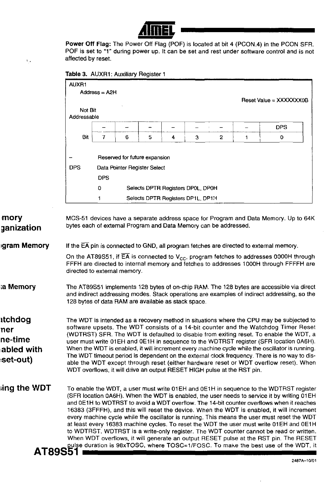

**Power Off** Flag: The Power Off Flag (POF) is located at bit 4 (PCONA) in the PCON SFR. POF is set to "1" during power up. It can be set and rest under software control and is not affected by reset.

**Table** 3. AUXR1: Auxiliary Register 1

, .

**mory** 

**ganization** 

| Not Bit     |                                        |   |                              |   |   |   |  | Reset Value = $XXXXXX0B$ |  |  |
|-------------|----------------------------------------|---|------------------------------|---|---|---|--|--------------------------|--|--|
| Addressable |                                        |   |                              |   |   |   |  | <b>DPS</b>               |  |  |
| <b>Bit</b>  |                                        | 6 | 5                            | 4 | 3 | 2 |  | 0                        |  |  |
| <b>DPS</b>  | <b>DPS</b>                             |   | Data Pointer Register Select |   |   |   |  |                          |  |  |
|             | Selects DPTR Registers DP0L, DP0H<br>0 |   |                              |   |   |   |  |                          |  |  |
|             | Selects DPTR Registers DP1L, DP1H      |   |                              |   |   |   |  |                          |  |  |

#### **Igram Memory**  If the  $\overline{EA}$  pin is connected to GND, all program fetches are directed to external memory.

On the AT89S51, if  $\overline{EA}$  is connected to  $V_{CC}$ , program fetches to addresses 0000H through FFFH are directed to internal memory and fetches to addresses 1000H through FFFFH are directed to external memory.

#### :a **Memory**  The AT89S51 implements 128 bytes of on-Chip RAM. The 128 bytes are accessible via direct and indirect addressing modes. Stack operations are examples of indirect addressing, so the 128 bytes of data RAM are available as stack space.

**ltchdog ner ne-time labled with**  ~set-out) The WDT is intended as a recovery method in Situations where the CPU may be subjected to software upsets. The WDT consists of a 14-bit counter and the Watchdog Timer Reset (WDTRST) SFR. The WDT is defaulted to disable from exiting reset. To enable the WDT, a user must write 01 EH and 0 E1H in sequence to the WDTRST register (SFR location 0 A6H). When the WDT is enabled, it will increment every machine cycle while the oscillator is running. The WDT timeout period is dependent on the external clock frequency. There is no way to disable the WDT except through reset (either hardware reset or WDT overflow reset). When WDT overflows, it will drive an output RESET HIGH pulse at the RST pin.

**ing the WDT** To enable the WDT, a user must write 01EH and 0E1H in sequence to the WDTRST register (SFR location OA6H). When the WDT is enabled, the user needs to service it by writing 01 EH and 0E1H to WDTRST to avoid a WDT overflow. The 14-bit counter overflows when it reaches 16383 (3FFFH), and this will reset the device. When the WDT is enabled, it will increment every machine cycle while the oscillator is running. This means the user must reset the WDT at least every 16383 machine cycles. To reset the WDT the user must write 01EH and 0E1H to WDTRST. WDTRST is a write-only register. The WDT counter cannot be read or written. When WDT overflows, it will generate an output RESET pulse at the RST pin. The RESET **AT89S51** entration is 98xTOSC, where TOSC=1/FOSC. To make the best use of the WDT, it

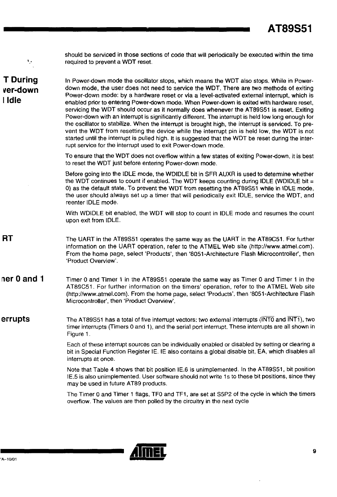| ٠,                                    | should be serviced in those sections of code that will periodically be executed within the time<br>required to prevent a WDT reset.                                                                                                                                                                                                                                                                                                                                                                                                                                                                                                                                                                                                                                                                                                                                                                                                                          |
|---------------------------------------|--------------------------------------------------------------------------------------------------------------------------------------------------------------------------------------------------------------------------------------------------------------------------------------------------------------------------------------------------------------------------------------------------------------------------------------------------------------------------------------------------------------------------------------------------------------------------------------------------------------------------------------------------------------------------------------------------------------------------------------------------------------------------------------------------------------------------------------------------------------------------------------------------------------------------------------------------------------|
| <b>T</b> During<br>ver-down<br>I Idle | In Power-down mode the oscillator stops, which means the WDT also stops. While in Power-<br>down mode, the user does not need to service the WDT. There are two methods of exiting<br>Power-down mode: by a hardware reset or via a level-activated external interrupt, which is<br>enabled prior to entering Power-down mode. When Power-down is exited with hardware reset,<br>servicing the WDT should occur as it normally does whenever the AT89S51 is reset. Exiting<br>Power-down with an interrupt is significantly different. The interrupt is held low long enough for<br>the oscillator to stabilize. When the interrupt is brought high, the interrupt is serviced. To pre-<br>vent the WDT from resetting the device while the interrupt pin is held low, the WDT is not<br>started until the interrupt is pulled high. It is suggested that the WDT be reset during the inter-<br>rupt service for the interrupt used to exit Power-down mode. |
|                                       | To ensure that the WDT does not overflow within a few states of exiting Power-down, it is best<br>to reset the WDT just before entering Power-down mode.                                                                                                                                                                                                                                                                                                                                                                                                                                                                                                                                                                                                                                                                                                                                                                                                     |
|                                       | Before going into the IDLE mode, the WDIDLE bit in SFR AUXR is used to determine whether<br>the WDT continues to count if enabled. The WDT keeps counting during IDLE (WDIDLE bit =<br>0) as the default state. To prevent the WDT from resetting the AT89S51 while in IDLE mode,<br>the user should always set up a timer that will periodically exit IDLE, service the WDT, and<br>reenter IDLE mode.                                                                                                                                                                                                                                                                                                                                                                                                                                                                                                                                                      |
|                                       | With WDIDLE bit enabled, the WDT will stop to count in IDLE mode and resumes the count<br>upon exit from IDLE.                                                                                                                                                                                                                                                                                                                                                                                                                                                                                                                                                                                                                                                                                                                                                                                                                                               |
| RT                                    | The UART in the AT89S51 operates the same way as the UART in the AT89C51. For further<br>information on the UART operation, refer to the ATMEL Web site (http://www.atmel.com).<br>From the home page, select 'Products', then '8051-Architecture Flash Microcontroller', then<br>'Product Overview'.                                                                                                                                                                                                                                                                                                                                                                                                                                                                                                                                                                                                                                                        |
| her 0 and 1                           | Timer 0 and Timer 1 in the AT89S51 operate the same way as Timer 0 and Timer 1 in the<br>AT89C51. For further information on the timers' operation, refer to the ATMEL Web site<br>(http://www.atmel.com). From the home page, select 'Products', then '8051-Architecture Flash<br>Microcontroller', then 'Product Overview'.                                                                                                                                                                                                                                                                                                                                                                                                                                                                                                                                                                                                                                |
| errupts                               | The AT89S51 has a total of five interrupt vectors: two external interrupts (INTO and INTT), two<br>timer interrupts (Timers 0 and 1), and the serial port interrupt. These interrupts are all shown in<br>Figure 1.                                                                                                                                                                                                                                                                                                                                                                                                                                                                                                                                                                                                                                                                                                                                          |
|                                       | Each of these interrupt sources can be individually enabled or disabled by setting or clearing a<br>bit in Special Function Register IE. IE also contains a global disable bit, EA, which disables all<br>interrupts at once.                                                                                                                                                                                                                                                                                                                                                                                                                                                                                                                                                                                                                                                                                                                                |
|                                       | Note that Table 4 shows that bit position IE.6 is unimplemented. In the AT89S51, bit position<br>IE.5 is also unimplemented. User software should not write 1s to these bit positions, since they<br>may be used in future AT89 products.                                                                                                                                                                                                                                                                                                                                                                                                                                                                                                                                                                                                                                                                                                                    |
|                                       | The Timer 0 and Timer 1 flags, TF0 and TF1, are set at S5P2 of the cycle in which the timers<br>overflow. The values are then polled by the circuitry in the next cycle                                                                                                                                                                                                                                                                                                                                                                                                                                                                                                                                                                                                                                                                                                                                                                                      |



يكتنبسيرهن

 $\bar{z}$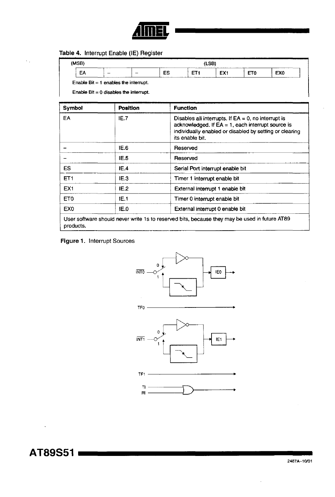

## **Table** 4. Interrupt Enable (IE) Register

 $\bar{\Sigma}$  .

| (MSB) |   | ----                                    | ------ | (LSB) |                 |  |
|-------|---|-----------------------------------------|--------|-------|-----------------|--|
| ᄄ     | - |                                         | ES     | EX1   | EX <sub>0</sub> |  |
|       |   | Enable Bit $= 1$ enables the interrupt. |        |       |                 |  |

Enable Bit = 0 disables the interrupt.

| Symbol          | Position | <b>Function</b>                                                                                                                                                                              |
|-----------------|----------|----------------------------------------------------------------------------------------------------------------------------------------------------------------------------------------------|
| EA              | IE.7     | Disables all interrupts. If $EA = 0$ , no interrupt is<br>acknowledged. If $EA = 1$ , each interrupt source is<br>individually enabled or disabled by setting or clearing<br>its enable bit. |
|                 | IE.6     | Reserved                                                                                                                                                                                     |
|                 | IE.5     | Reserved                                                                                                                                                                                     |
| ES              | IE.4     | Serial Port interrupt enable bit                                                                                                                                                             |
| ET <sub>1</sub> | IE.3     | Timer 1 interrupt enable bit                                                                                                                                                                 |
| EX <sub>1</sub> | IE.2     | External interrupt 1 enable bit                                                                                                                                                              |
| ET0             | IE.1     | Timer 0 interrupt enable bit                                                                                                                                                                 |
| EX <sub>0</sub> | IE.0     | External interrupt 0 enable bit                                                                                                                                                              |
| products.       |          | User software should never write 1s to reserved bits, because they may be used in future AT89                                                                                                |

#### **Figure** 1. Interrupt Sources

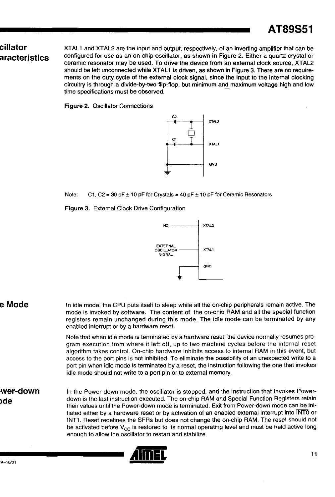# **cillator aracterJstics**

XTAL1 and XTAL2 are the input and output, respectively, of an inverting amplifier that can be configured for use as an on-chip oscillator, as shown in Figure 2. Either a quartz crystal or ceramic resonator may be used. To drive the device from an external clock source, XTAl2 should be left unconnected while XTAL1 is driven, as shown in Figure 3. There are no requirements on the duty cycle of the external clock signal, since the input to the internal clocking circuitry is through a divide-by-two flip-flop, but minimum and maximum voltage high and low time specifications must be observed.

Figure 2. Oscillator Connections



Note: C1, C2 = 30 pF  $\pm$  10 pF for Crystals = 40 pF  $\pm$  10 pF for Ceramic Resonators

Figure 3. Extemal Clock Drive Configuration



**eMode**  In idle mode, the CPU puts itseli to sleep while all the on-chip peripherals remain active. The mode is invoked by software. The content of the on-chip RAM and all the special function registers remain unchanged during this mode. The idle mode can be terminated by any enabled interrupt or by a hardware reset. Note that when idle mode is terminated by a hardware reset, the device normally resumes program execution from where it left off, up to two machine cycles before the internal reset algorithm takes control. On-chip hardware inhibits access to internal RAM in this event, but access to the port pins is not inhibited. To eliminate the possibility of an unexpected write to a port pin when idle mode is terminated by a reset, the instruction following the one that invokes idle mode should not write to a port pin or to external memory.

**Iwer-down >de**  In the Power-down mode, the oscillator is stopped, and the instruction that invokes Powerdown is the last instruction executed. The on-chip RAM and Special Function Registers retain their values until the Power-down mode is terminated. Exit from Power-down mode can be initiated either by a hardware reset or by activation of an enabled external interrupt into INTO or INT1. Reset redefines the SFRs but does not change the on-chip RAM. The reset should not be activated before  $V_{CC}$  is restored to its normal operating level and must be held active long enough to allow the oscillator to restart and stabilize.

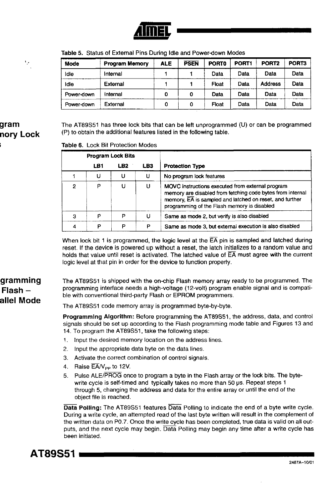| Mode       | <b>Program Memory</b> | <b>ALE</b> | <b>PSEN</b> | <b>PORTO</b> | PORT <sub>1</sub> | PORT <sub>2</sub> | PORT3 |
|------------|-----------------------|------------|-------------|--------------|-------------------|-------------------|-------|
| Idle       | Internal              |            |             | Data         | Data              | Data              | Data  |
| Idie       | External              |            |             | Float        | Data              | <b>Address</b>    | Data  |
| Power-down | internal              | 0          | 0           | Data         | Data              | Data              | Data  |
| Power-down | External              | 0          | o           | Float        | Data              | Data              | Data  |

Table 5. Status of External Pins During Idle and Power-down Modes

# gram nory Lock

'.'

The AT89S51 has three lock bits that can be left unprogrammed (U) or can be programmed (P) to obtain the additional features listed in the following table.

#### Table 6. Lock Bit Protection Modes

|   | <b>Program Lock Bits</b> |                 |     |                                                                                                                                                                                                                          |
|---|--------------------------|-----------------|-----|--------------------------------------------------------------------------------------------------------------------------------------------------------------------------------------------------------------------------|
|   | LB1                      | LB <sub>2</sub> | LB3 | <b>Protection Type</b>                                                                                                                                                                                                   |
|   | υ                        | U               | U   | No program lock features                                                                                                                                                                                                 |
| 2 | P                        |                 | U   | MOVC instructions executed from external program<br>memory are disabled from fetching code bytes from internal<br>memory, EA is sampled and latched on reset, and further<br>programming of the Flash memory is disabled |
| з | p                        | P               | U   | Same as mode 2, but verify is also disabled                                                                                                                                                                              |
|   | n                        | P               | P   | Same as mode 3, but external execution is also disabled                                                                                                                                                                  |

When lock bit 1 is programmed, the logic level at the  $\overline{EA}$  pin is sampled and latched during reset. If the device is powered up without a reset, the latch initializes to a random value and holds that value until reset is activated. The latched value of  $\overline{\mathsf{EA}}$  must agree with the current logic level at that pin in order for the device to function property.

# gramming Flash allel Mode

The AT89S51 is shipped with the on-chip Flash memory array ready to be programmed. The programming interface needs a high-voltage (12-volt) program enable signal and is compatible with conventional third-party Flash or EPROM programmers.

The AT89S51 code memory array is programmed byte-by-byte.

Programming Algorithm: Before programming the AT89S51, the address, data, and control signals should be set up according to the Flash programming mode table and Figures 13 and 14. To program the AT89S51, take the following steps:

- 1. Input the desired memory location on the address lines.
- 2. Input the appropriate data byte on the data lines.
- 3. Activate the correct combination of control signals.
- 4. Raise  $\overline{\mathsf{EA}}/\mathsf{V}_{\mathsf{PP}}$  to 12V.
- 5. Pulse ALE/PROG once to program a byte in the Flash array or the lock bits. The bytewrite cycle is self-timed and typically takes no more than 50  $\mu$ s. Repeat steps 1 through 5, changing the address and data for the entire array or until the end of the object file is reached.

Data Polling: The AT89S51 features Data Polling to indicate the end of a byte write cycle. During a write cycle, an attempted read of the last byte written will result in the complement of the written data on PO.7. Once the write cycle has been completed, true data is valid on all outputs, and the next cycle may begin. Data Polling may begin any time after a write cycle has been initiated.

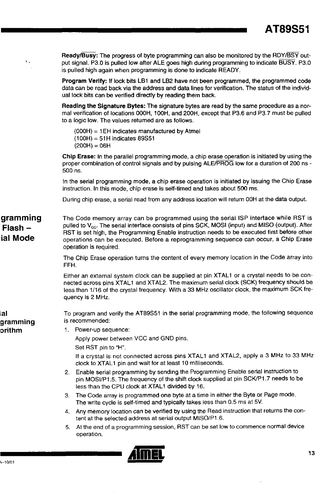Ready/Busy: The progress of byte programming can also be monitored by the RDY/BSY output signal. P3.0 is pulled low after ALE goes high during programming to indicate BUSY. P3.0 is pulled high again when programming is done to indicate READY.

Program Verify: If lock bits LB1 and LB2 have not been programmed, the programmed code data can be read back via the address and data lines for verification. The status of the individual lock bits can be verified directly by reading them back.

Reading the Signature Bytes: The signature bytes are read by the same procedure as a normal verification of locations OOOH, 100H, and 200H, except that P3.6 and P3.7 must be pulled to a logic low. The values retumed are as follows.

(OOOH) = 1 EH indicates manufactured by Atmel  $(100H) = 51H$  indicates 89S51  $(200H) = 06H$ 

Chip Erase: In the parallel programming mode, a chip erase operation is initiated by using the proper combination of control signals and by pulsing ALE/PROG low for a duration of 200 ns -500 ns.

In the serial programming mode, a chip erase operation is initiated by issuing the Chip Erase instruction. In this mode, chip erase is self-timed and takes about 500 ms.

During chip erase, a serial read from any address location will return OOH at the data output.

gramming The Code memory array can be programmed using the serial ISP interface while RST is pulled to V<sub>cc</sub>. The serial interface consists of pins SCK, MOSI (input) and MISO (output). After RST is set high, the Prograrnming Enable instruction needs to be executed first before other operations can be executed. Before a reprogramming sequence can occur, a Chip Erase operation is required.

> The Chip Erase operation turns the content of every memory location in the Code array into FFH.

> Either an external system clock can be supplied at pin XTAL1 or a crystal needs to be connected across pins XTAL1 and XTAL2. The maximum serial clock (SCK) frequency should be less than 1/16 of the crystal frequency. With a 33 MHz oscillator clock, the maximum SCK frequency is 2 MHz.

gramming To program and verify the AT89S51 in the serial programming mode, the following sequence is recommended:

1. Power-up sequence:

Apply power between VCC and GND pins. Set RST pin to "H".

If a crystal is not connected across pins XTAL1 and XTAL2, apply a 3 MHz to 33 MHz clock to XTAL1 pin and wait for at least 10 milliseconds.

- 2. Enable serial programming by sending the Programming Enable serial instruction to pin MOSI/P1.5. The frequency of the shift clock supplied at pin SCK/P1.7 needs to be less than the CPU clock at XTAL1 divided by 16.
- 3. The Code array is programmed one byte at a time in either the Byte or Page mode. The write cycle is self-timed and typically takes less than 0.5 ms at 5V.
- 4. Any memory location can be verified by using the Read instruction that returns the content at the selected address at serial output MISO/P1.6.
- 5. At the end of a programming session, RST can be set low to commence normal device operation.



# Flash ial Mode

, .

# ial orithm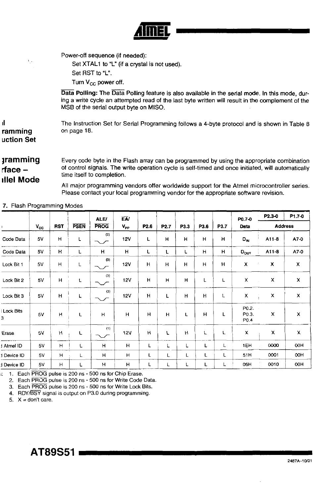

Power-off sequence (if needed):

Set XTAL1 to "L" (if a crystal is not used). Set RST to "L".

Turn V<sub>CC</sub> power off.

Data Polling: The Data Polling feature is also available in the serial mode, In this mode, during a write cycle an attempted read of the last byte written will result in the complement of the MSB of the serial output byte on MISO.

The Instruction Set for Serial Programming follows a 4-byte protocol and is shown in Table 8 on page 18.

# **amming** rface  $$ ıllel Mode

ramming **uction Set** 

il

 $\mathcal{V}$  .

Every code byte in the Flash array can be programmed by using the appropriate combination of control signals. The write operation cycle is self-timed and once initiated, will automatically time itself to completion.

All major programming vendors offer worldwide support for the Atmel microcontroller series. Please contact your local programming vendor for the appropriate software revision.

|                       |              |            |             | <b>ALE/</b>   | EA/          |                  |      |      |      |              | P0.7-0                             | P2.3-0                    | P1.7-0         |  |
|-----------------------|--------------|------------|-------------|---------------|--------------|------------------|------|------|------|--------------|------------------------------------|---------------------------|----------------|--|
|                       | $V_{\rm CC}$ | <b>RST</b> | <b>PSEN</b> | <b>PROG</b>   | $V_{\rm pp}$ | P <sub>2.6</sub> | P2.7 | P3.3 | P3.6 | P3.7         | Data                               |                           | <b>Address</b> |  |
| Code Data             | 5V           | н          | Г           | (2)<br>$\sim$ | <b>12V</b>   | L                | н    | H    | H    | н            | $D_{\text{IN}}$                    | A11-8                     | A7-0           |  |
| Code Data             | 5V           | H          | L           | H             | H            | L                | L    | L    | н    | H            | $D_{\text{OUT}}$                   | A11-8                     | A7-0           |  |
| Lock Bit 1            | 5V           | Н          | L           | (3)<br>$\sim$ | 12V          | H                | H    | н    | н    | н            | X                                  | X                         | X              |  |
| Lock Bit 2            | 5V           | H          | L           | (3)<br>$\sim$ | <b>12V</b>   | H                | н    | H    | L    | Г            | $\mathsf{x}$                       | x                         | X              |  |
| Lock Bit 3            | 5V           | н          | L           | (3)<br>$\sim$ | <b>12V</b>   | H                | L    | н    | н    | $\mathsf{L}$ | x<br>$\mathbb{Z}_4$                | X                         | x              |  |
| <b>Lock Bits</b><br>3 | 5V           | Н          | L           | н             | H            | H                | H    | L    | H    | L            | P0.2.<br>P0.3.<br>P <sub>0.4</sub> | $\boldsymbol{\mathsf{x}}$ | $\pmb{\times}$ |  |
| Erase                 | 5V           | н          | L           | (1)           | <b>12V</b>   | н                | L    | H    | L    | L            | х                                  | Х                         | $\mathbf{x}$   |  |
| Atmel ID              | 5V           | H          | L           | н             | H            | L                | L    | L    | Г    | L            | 1EH                                | 0000                      | OOH            |  |
| Device ID             | 5V           | н          | L           | $\mathsf{H}$  | H            | L                | Г    | L    | L    | L            | 51H                                | 0001                      | OOH            |  |
| Device ID             | 5V           | H          | L           | Η             | н            | L                | L    | L    | Г    | L            | 06H                                | 0010                      | 00H            |  |

#### 7. Flash Programming Modes

1. Each PROG pulse is 200 ns - 500 ns for Chip Erase.

2. Each PROG pulse is 200 ns - 500 ns for Write Code Data.

3. Each PROG pulse is 200 ns - 500 ns for Write Lock Bits.

4. RDY/BSY signal is output on P3.0 during programming.

5.  $X =$  don't care.

**AT89S51**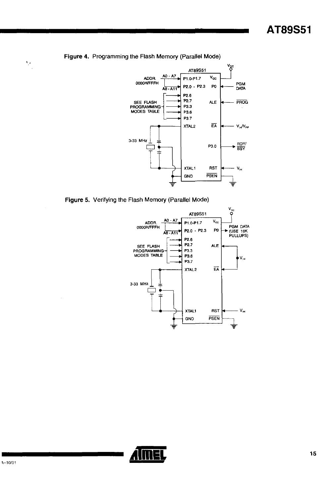

#### Figure 4. Programming the Flash Memory (Parallel Mode)







 $\bar{V}_\mu$ 

 $\mathbf{r}$ 

 $\overline{\phantom{a}}$